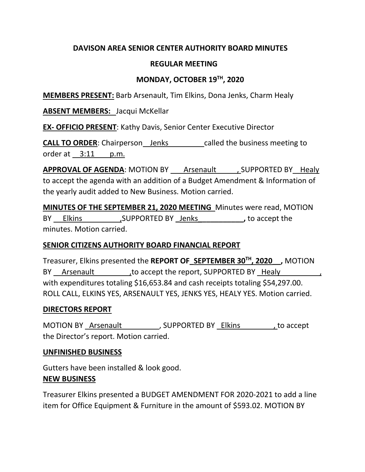# **DAVISON AREA SENIOR CENTER AUTHORITY BOARD MINUTES**

### **REGULAR MEETING**

# **MONDAY, OCTOBER 19TH, 2020**

**MEMBERS PRESENT:** Barb Arsenault, Tim Elkins, Dona Jenks, Charm Healy

**ABSENT MEMBERS:** Jacqui McKellar

**EX- OFFICIO PRESENT**: Kathy Davis, Senior Center Executive Director

**CALL TO ORDER:** Chairperson Jenks called the business meeting to order at 3:11 p.m.

**APPROVAL OF AGENDA:** MOTION BY Arsenault , SUPPORTED BY Healy to accept the agenda with an addition of a Budget Amendment & Information of the yearly audit added to New Business. Motion carried.

**MINUTES OF THE SEPTEMBER 21, 2020 MEETING** Minutes were read, MOTION BY Elkins ,SUPPORTED BY Jenks , to accept the minutes. Motion carried.

### **SENIOR CITIZENS AUTHORITY BOARD FINANCIAL REPORT**

Treasurer, Elkins presented the **REPORT OF\_SEPTEMBER 30TH, 2020\_\_,** MOTION BY Arsenault but accept the report, SUPPORTED BY Healy with expenditures totaling \$16,653.84 and cash receipts totaling \$54,297.00. ROLL CALL, ELKINS YES, ARSENAULT YES, JENKS YES, HEALY YES. Motion carried.

### **DIRECTORS REPORT**

MOTION BY Arsenault (Arsenault of the SUPPORTED BY Elkins and to accept the Director's report. Motion carried.

### **UNFINISHED BUSINESS**

Gutters have been installed & look good. **NEW BUSINESS**

Treasurer Elkins presented a BUDGET AMENDMENT FOR 2020-2021 to add a line item for Office Equipment & Furniture in the amount of \$593.02. MOTION BY